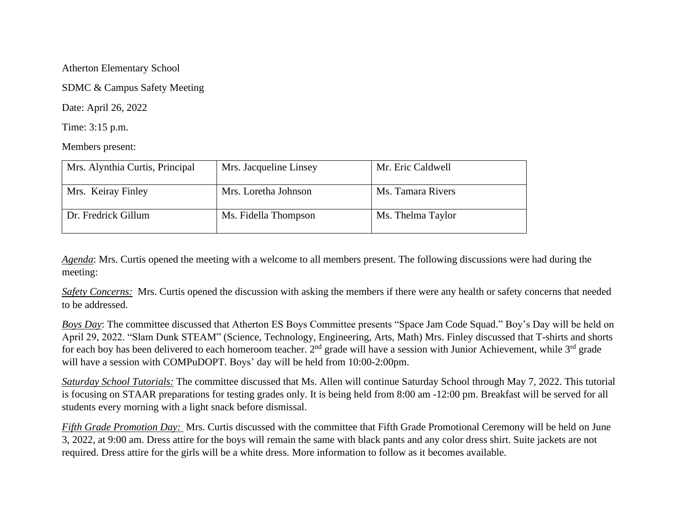## Atherton Elementary School

SDMC & Campus Safety Meeting

Date: April 26, 2022

Time: 3:15 p.m.

Members present:

| Mrs. Alynthia Curtis, Principal | Mrs. Jacqueline Linsey | Mr. Eric Caldwell |
|---------------------------------|------------------------|-------------------|
| Mrs. Keiray Finley              | Mrs. Loretha Johnson   | Ms. Tamara Rivers |
| Dr. Fredrick Gillum             | Ms. Fidella Thompson   | Ms. Thelma Taylor |

*Agenda*: Mrs. Curtis opened the meeting with a welcome to all members present. The following discussions were had during the meeting:

*Safety Concerns:* Mrs. Curtis opened the discussion with asking the members if there were any health or safety concerns that needed to be addressed.

*Boys Day*: The committee discussed that Atherton ES Boys Committee presents "Space Jam Code Squad." Boy's Day will be held on April 29, 2022. "Slam Dunk STEAM" (Science, Technology, Engineering, Arts, Math) Mrs. Finley discussed that T-shirts and shorts for each boy has been delivered to each homeroom teacher.  $2^{nd}$  grade will have a session with Junior Achievement, while  $3^{rd}$  grade will have a session with COMPuDOPT. Boys' day will be held from 10:00-2:00pm.

*Saturday School Tutorials:* The committee discussed that Ms. Allen will continue Saturday School through May 7, 2022. This tutorial is focusing on STAAR preparations for testing grades only. It is being held from 8:00 am -12:00 pm. Breakfast will be served for all students every morning with a light snack before dismissal.

*Fifth Grade Promotion Day:* Mrs. Curtis discussed with the committee that Fifth Grade Promotional Ceremony will be held on June 3, 2022, at 9:00 am. Dress attire for the boys will remain the same with black pants and any color dress shirt. Suite jackets are not required. Dress attire for the girls will be a white dress. More information to follow as it becomes available.